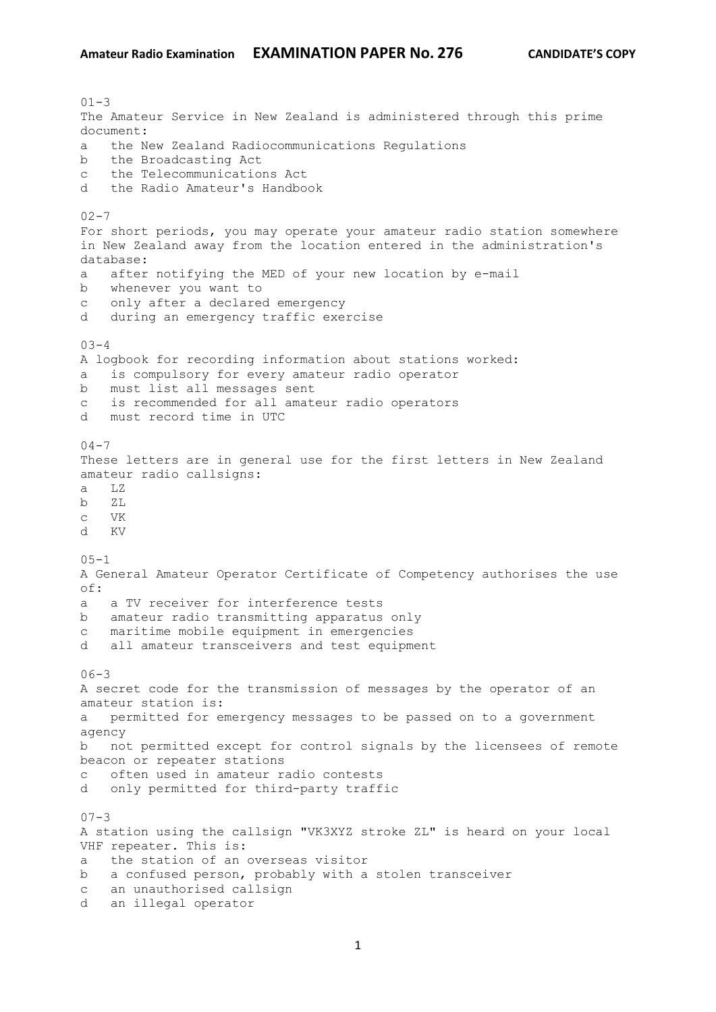$01 - 3$ The Amateur Service in New Zealand is administered through this prime document: a the New Zealand Radiocommunications Regulations b the Broadcasting Act c the Telecommunications Act d the Radio Amateur's Handbook  $02 - 7$ For short periods, you may operate your amateur radio station somewhere in New Zealand away from the location entered in the administration's database: a after notifying the MED of your new location by e-mail b whenever you want to c only after a declared emergency d during an emergency traffic exercise 03-4 A logbook for recording information about stations worked: is compulsory for every amateur radio operator b must list all messages sent c is recommended for all amateur radio operators d must record time in UTC  $04 - 7$ These letters are in general use for the first letters in New Zealand amateur radio callsigns: a LZ b ZL c VK d KV  $05 - 1$ A General Amateur Operator Certificate of Competency authorises the use  $\cap$  f  $\cdot$ a a TV receiver for interference tests b amateur radio transmitting apparatus only c maritime mobile equipment in emergencies d all amateur transceivers and test equipment  $06 - 3$ A secret code for the transmission of messages by the operator of an amateur station is: a permitted for emergency messages to be passed on to a government agency b not permitted except for control signals by the licensees of remote beacon or repeater stations c often used in amateur radio contests d only permitted for third-party traffic  $07 - 3$ A station using the callsign "VK3XYZ stroke ZL" is heard on your local VHF repeater. This is: a the station of an overseas visitor b a confused person, probably with a stolen transceiver c an unauthorised callsign d an illegal operator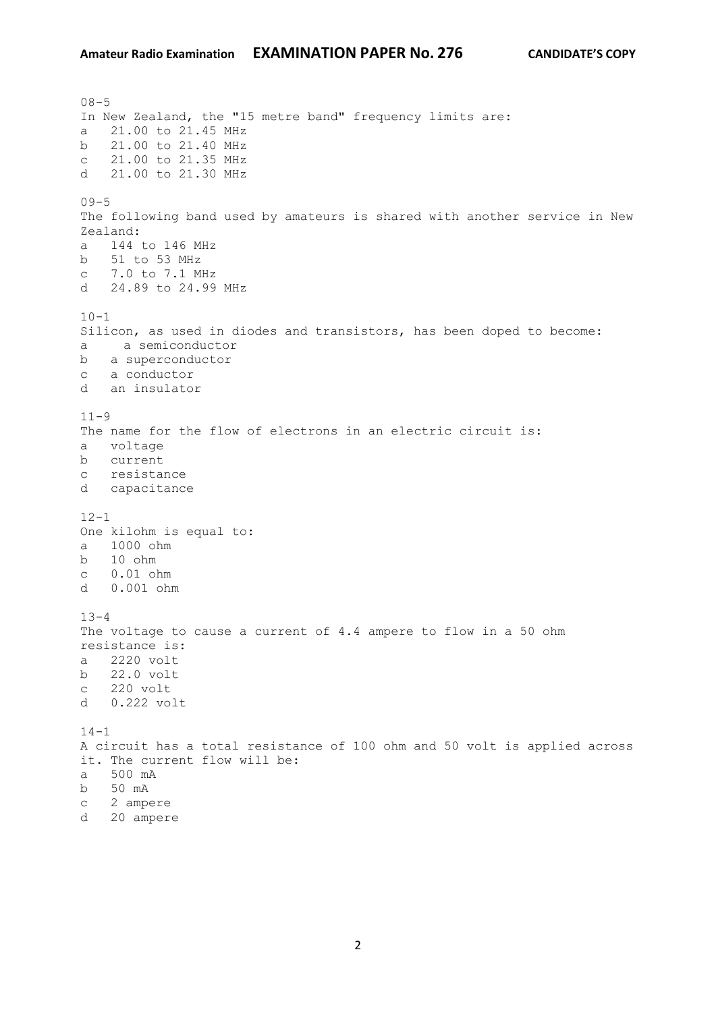$08 - 5$ In New Zealand, the "15 metre band" frequency limits are: a 21.00 to 21.45 MHz b 21.00 to 21.40 MHz c 21.00 to 21.35 MHz d 21.00 to 21.30 MHz  $09 - 5$ The following band used by amateurs is shared with another service in New Zealand: a 144 to 146 MHz b 51 to 53 MHz c 7.0 to 7.1 MHz d 24.89 to 24.99 MHz  $10 - 1$ Silicon, as used in diodes and transistors, has been doped to become: a a semiconductor b a superconductor c a conductor d an insulator  $11 - 9$ The name for the flow of electrons in an electric circuit is: a voltage b current c resistance d capacitance  $12 - 1$ One kilohm is equal to: a 1000 ohm b 10 ohm c 0.01 ohm d 0.001 ohm  $13 - 4$ The voltage to cause a current of 4.4 ampere to flow in a 50 ohm resistance is: a 2220 volt b 22.0 volt c 220 volt d 0.222 volt  $14 - 1$ A circuit has a total resistance of 100 ohm and 50 volt is applied across it. The current flow will be: a 500 mA b 50 mA c 2 ampere d 20 ampere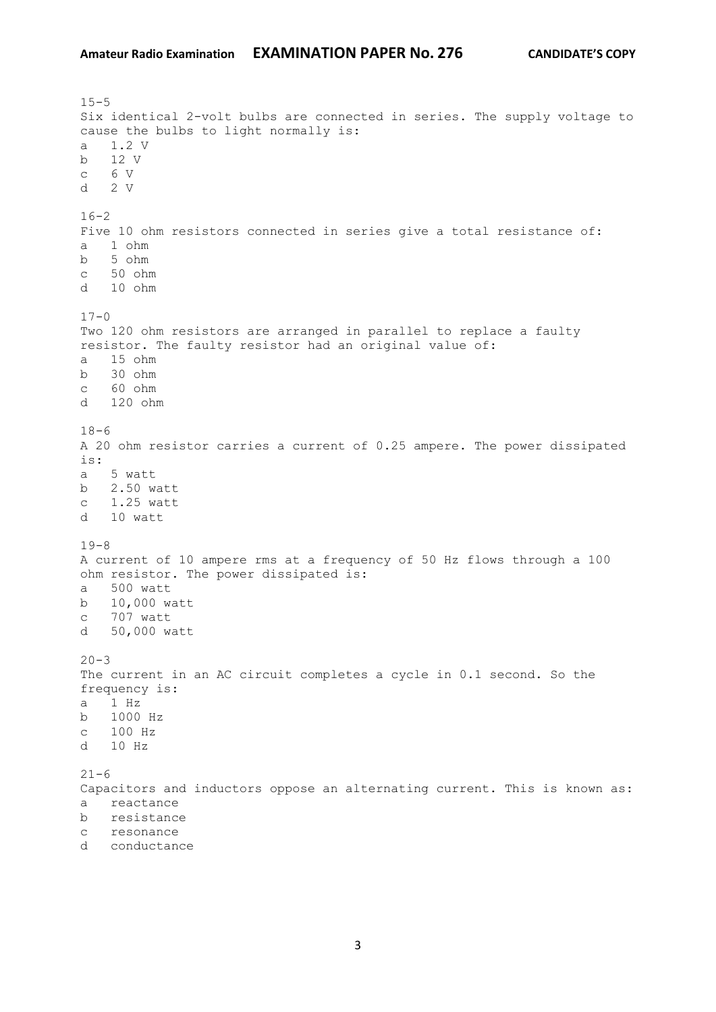$15 - 5$ Six identical 2-volt bulbs are connected in series. The supply voltage to cause the bulbs to light normally is: a 1.2 V b 12 V c 6 V d 2 V  $16 - 2$ Five 10 ohm resistors connected in series give a total resistance of: a 1 ohm b 5 ohm c 50 ohm d 10 ohm  $17 - 0$ Two 120 ohm resistors are arranged in parallel to replace a faulty resistor. The faulty resistor had an original value of: a 15 ohm b 30 ohm c 60 ohm d 120 ohm  $18-6$ A 20 ohm resistor carries a current of 0.25 ampere. The power dissipated is: a 5 watt b 2.50 watt c 1.25 watt d 10 watt 19-8 A current of 10 ampere rms at a frequency of 50 Hz flows through a 100 ohm resistor. The power dissipated is: a 500 watt b 10,000 watt c 707 watt d 50,000 watt  $20 - 3$ The current in an AC circuit completes a cycle in 0.1 second. So the frequency is: a 1 Hz b 1000 Hz c 100 Hz d 10 Hz  $21 - 6$ Capacitors and inductors oppose an alternating current. This is known as: a reactance b resistance c resonance d conductance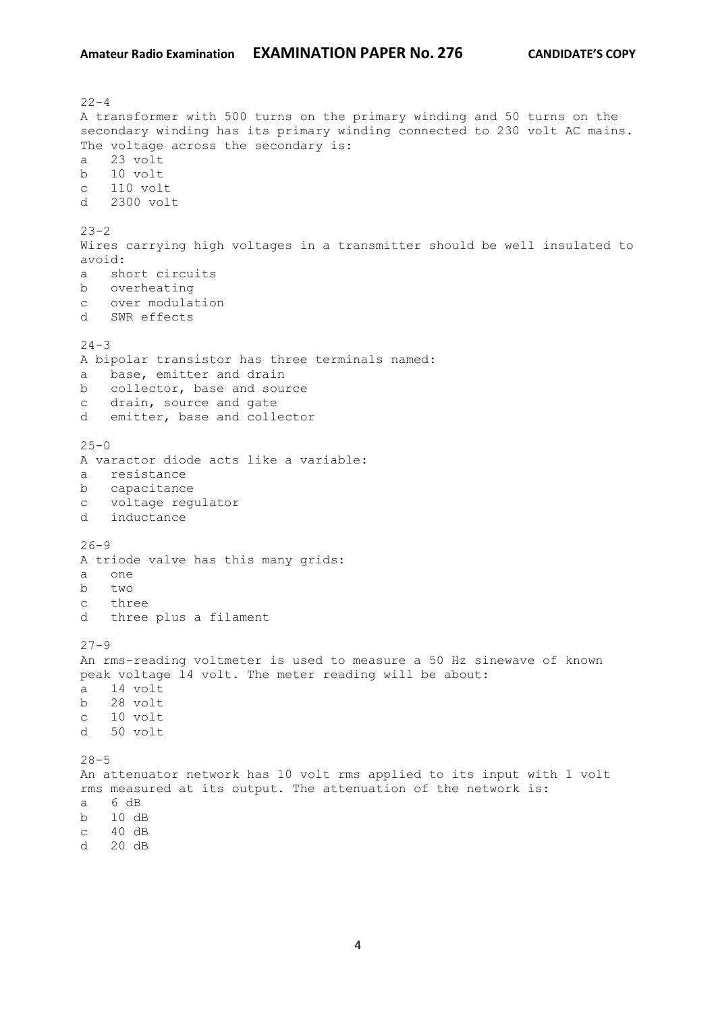$22 - 4$ A transformer with 500 turns on the primary winding and 50 turns on the secondary winding has its primary winding connected to 230 volt AC mains. The voltage across the secondary is: a 23 volt b 10 volt c 110 volt d 2300 volt  $23 - 2$ Wires carrying high voltages in a transmitter should be well insulated to avoid: a short circuits b overheating c over modulation d SWR effects  $24 - 3$ A bipolar transistor has three terminals named: a base, emitter and drain b collector, base and source c drain, source and gate d emitter, base and collector  $25 - 0$ A varactor diode acts like a variable: a resistance b capacitance c voltage regulator d inductance  $26 - 9$ A triode valve has this many grids: a one b  $t_{WQ}$ c three d three plus a filament  $27 - 9$ An rms-reading voltmeter is used to measure a 50 Hz sinewave of known peak voltage 14 volt. The meter reading will be about: a 14 volt b 28 volt c 10 volt d 50 volt  $28 - 5$ An attenuator network has 10 volt rms applied to its input with 1 volt rms measured at its output. The attenuation of the network is: a 6 dB b 10 dB c 40 dB d 20 dB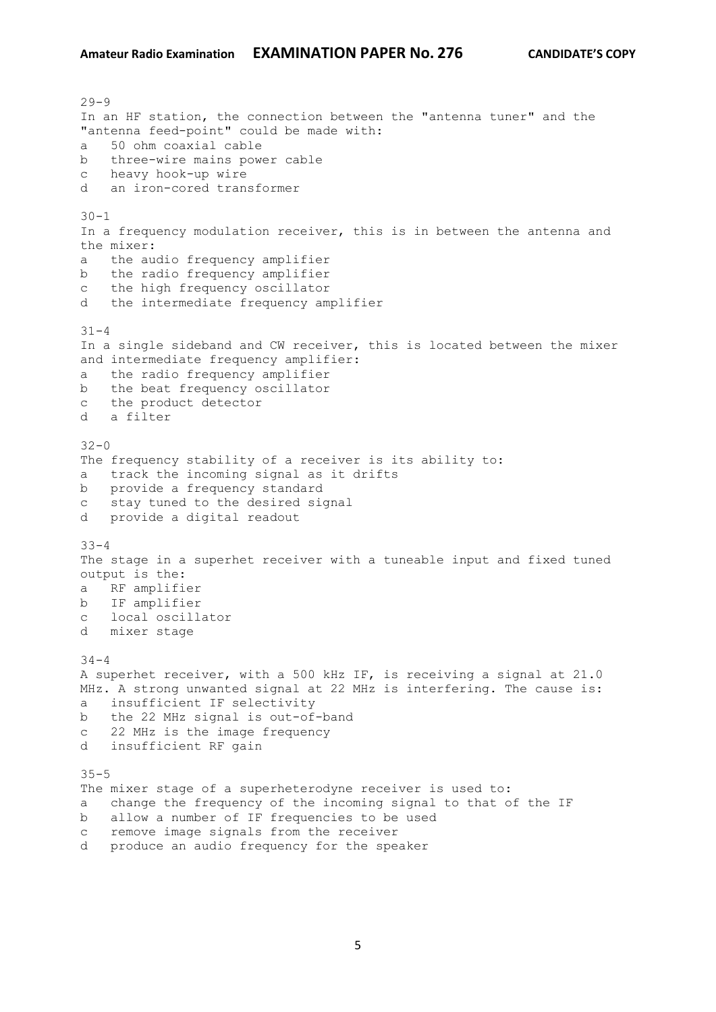$29 - 9$ In an HF station, the connection between the "antenna tuner" and the "antenna feed-point" could be made with: a 50 ohm coaxial cable b three-wire mains power cable c heavy hook-up wire d an iron-cored transformer  $30 - 1$ In a frequency modulation receiver, this is in between the antenna and the mixer: a the audio frequency amplifier b the radio frequency amplifier c the high frequency oscillator d the intermediate frequency amplifier  $31 - 4$ In a single sideband and CW receiver, this is located between the mixer and intermediate frequency amplifier: a the radio frequency amplifier b the beat frequency oscillator c the product detector d a filter  $32 - 0$ The frequency stability of a receiver is its ability to: a track the incoming signal as it drifts b provide a frequency standard c stay tuned to the desired signal d provide a digital readout 33-4 The stage in a superhet receiver with a tuneable input and fixed tuned output is the: a RF amplifier b IF amplifier c local oscillator d mixer stage  $34 - 4$ A superhet receiver, with a 500 kHz IF, is receiving a signal at 21.0 MHz. A strong unwanted signal at 22 MHz is interfering. The cause is: a insufficient IF selectivity b the 22 MHz signal is out-of-band c 22 MHz is the image frequency d insufficient RF gain 35-5 The mixer stage of a superheterodyne receiver is used to: a change the frequency of the incoming signal to that of the IF b allow a number of IF frequencies to be used c remove image signals from the receiver d produce an audio frequency for the speaker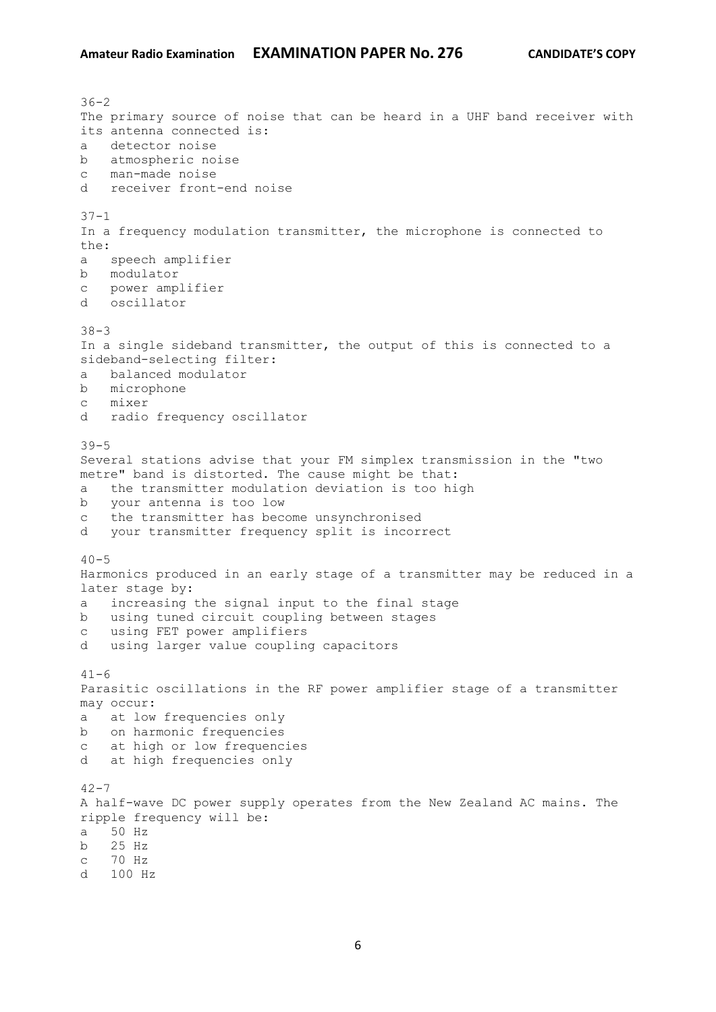$36 - 2$ The primary source of noise that can be heard in a UHF band receiver with its antenna connected is: a detector noise b atmospheric noise c man-made noise d receiver front-end noise  $37 - 1$ In a frequency modulation transmitter, the microphone is connected to the: a speech amplifier b modulator c power amplifier d oscillator 38-3 In a single sideband transmitter, the output of this is connected to a sideband-selecting filter: a balanced modulator b microphone c mixer d radio frequency oscillator 39-5 Several stations advise that your FM simplex transmission in the "two metre" band is distorted. The cause might be that: a the transmitter modulation deviation is too high b your antenna is too low c the transmitter has become unsynchronised d your transmitter frequency split is incorrect  $40 - 5$ Harmonics produced in an early stage of a transmitter may be reduced in a later stage by: a increasing the signal input to the final stage b using tuned circuit coupling between stages c using FET power amplifiers d using larger value coupling capacitors  $41 - 6$ Parasitic oscillations in the RF power amplifier stage of a transmitter may occur: a at low frequencies only b on harmonic frequencies c at high or low frequencies d at high frequencies only  $42 - 7$ A half-wave DC power supply operates from the New Zealand AC mains. The ripple frequency will be: a 50 Hz b 25 Hz c 70 Hz d 100 Hz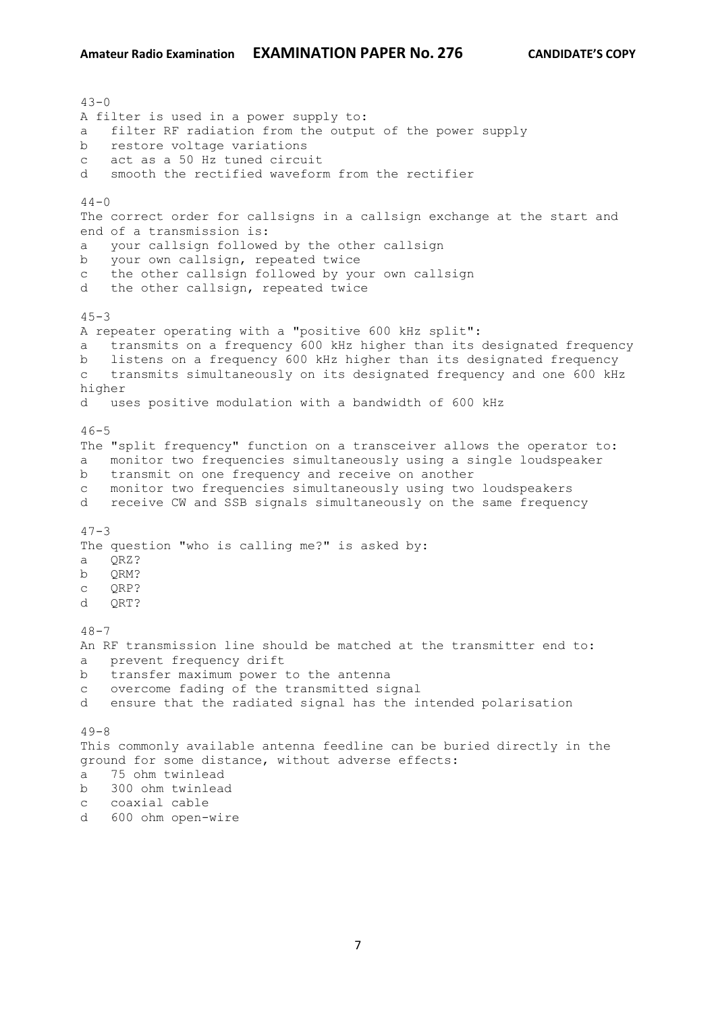$43 - 0$ A filter is used in a power supply to: a filter RF radiation from the output of the power supply b restore voltage variations c act as a 50 Hz tuned circuit d smooth the rectified waveform from the rectifier  $44 - 0$ The correct order for callsigns in a callsign exchange at the start and end of a transmission is: a your callsign followed by the other callsign b your own callsign, repeated twice c the other callsign followed by your own callsign d the other callsign, repeated twice  $45 - 3$ A repeater operating with a "positive 600 kHz split": a transmits on a frequency 600 kHz higher than its designated frequency b listens on a frequency 600 kHz higher than its designated frequency c transmits simultaneously on its designated frequency and one 600 kHz higher d uses positive modulation with a bandwidth of 600 kHz  $46 - 5$ The "split frequency" function on a transceiver allows the operator to: a monitor two frequencies simultaneously using a single loudspeaker b transmit on one frequency and receive on another c monitor two frequencies simultaneously using two loudspeakers d receive CW and SSB signals simultaneously on the same frequency  $47 - 3$ The question "who is calling me?" is asked by: a QRZ? b ORM? c QRP? d QRT?  $48 - 7$ An RF transmission line should be matched at the transmitter end to: a prevent frequency drift b transfer maximum power to the antenna c overcome fading of the transmitted signal d ensure that the radiated signal has the intended polarisation  $49 - 8$ This commonly available antenna feedline can be buried directly in the ground for some distance, without adverse effects: a 75 ohm twinlead b 300 ohm twinlead c coaxial cable

d 600 ohm open-wire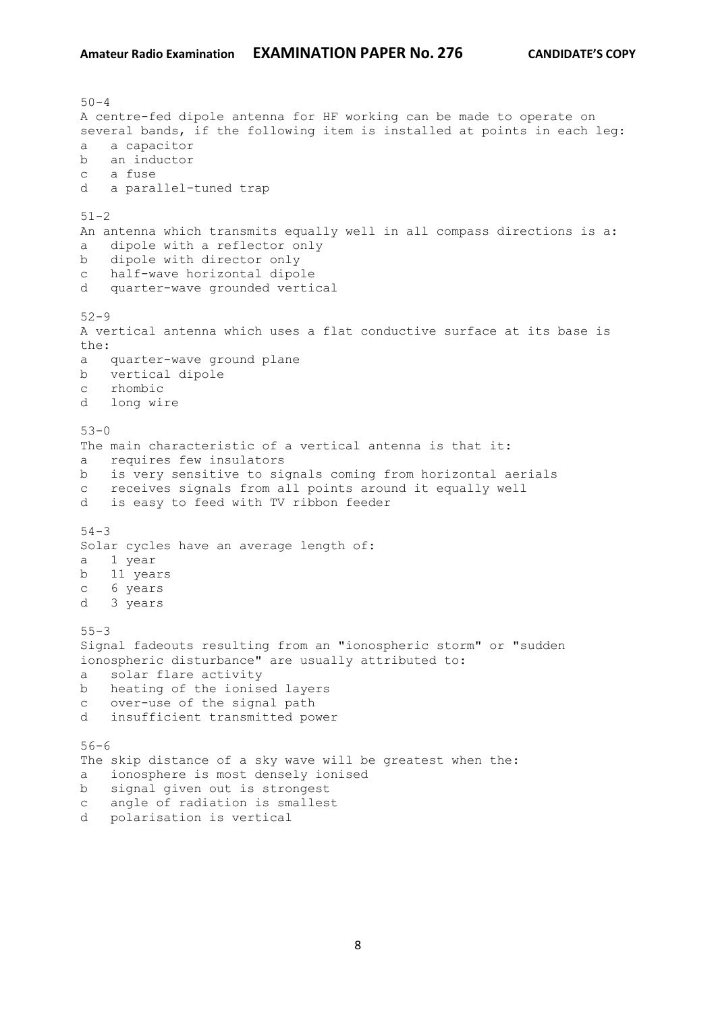$50 - 4$ A centre-fed dipole antenna for HF working can be made to operate on several bands, if the following item is installed at points in each leg: a a capacitor b an inductor c a fuse d a parallel-tuned trap  $51 - 2$ An antenna which transmits equally well in all compass directions is a: a dipole with a reflector only b dipole with director only c half-wave horizontal dipole d quarter-wave grounded vertical 52-9 A vertical antenna which uses a flat conductive surface at its base is the: a quarter-wave ground plane b vertical dipole c rhombic d long wire 53-0 The main characteristic of a vertical antenna is that it: a requires few insulators b is very sensitive to signals coming from horizontal aerials c receives signals from all points around it equally well d is easy to feed with TV ribbon feeder 54-3 Solar cycles have an average length of: a 1 year b 11 years c 6 years d 3 years 55-3 Signal fadeouts resulting from an "ionospheric storm" or "sudden ionospheric disturbance" are usually attributed to: a solar flare activity b heating of the ionised layers c over-use of the signal path d insufficient transmitted power 56-6 The skip distance of a sky wave will be greatest when the: a ionosphere is most densely ionised b signal given out is strongest c angle of radiation is smallest d polarisation is vertical